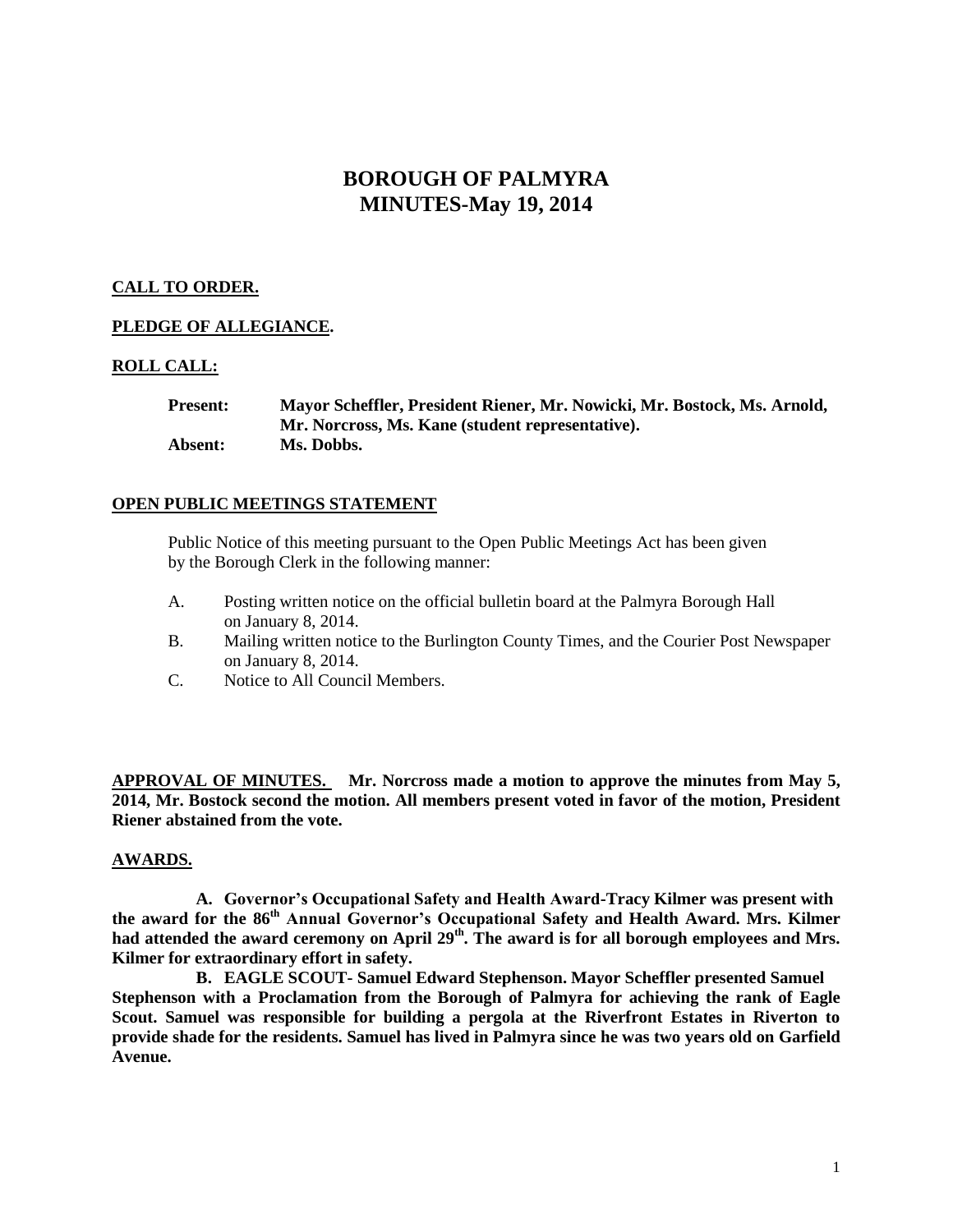# **BOROUGH OF PALMYRA MINUTES-May 19, 2014**

# **CALL TO ORDER.**

# **PLEDGE OF ALLEGIANCE.**

#### **ROLL CALL:**

| <b>Present:</b> | Mayor Scheffler, President Riener, Mr. Nowicki, Mr. Bostock, Ms. Arnold, |
|-----------------|--------------------------------------------------------------------------|
|                 | Mr. Norcross, Ms. Kane (student representative).                         |
| Absent:         | Ms. Dobbs.                                                               |

#### **OPEN PUBLIC MEETINGS STATEMENT**

Public Notice of this meeting pursuant to the Open Public Meetings Act has been given by the Borough Clerk in the following manner:

- A. Posting written notice on the official bulletin board at the Palmyra Borough Hall on January 8, 2014.
- B. Mailing written notice to the Burlington County Times, and the Courier Post Newspaper on January 8, 2014.
- C. Notice to All Council Members.

**APPROVAL OF MINUTES. Mr. Norcross made a motion to approve the minutes from May 5, 2014, Mr. Bostock second the motion. All members present voted in favor of the motion, President Riener abstained from the vote.** 

# **AWARDS.**

**A. Governor's Occupational Safety and Health Award-Tracy Kilmer was present with the award for the 86th Annual Governor's Occupational Safety and Health Award. Mrs. Kilmer**  had attended the award ceremony on April 29<sup>th</sup>. The award is for all borough employees and Mrs. **Kilmer for extraordinary effort in safety.** 

**B. EAGLE SCOUT- Samuel Edward Stephenson. Mayor Scheffler presented Samuel Stephenson with a Proclamation from the Borough of Palmyra for achieving the rank of Eagle Scout. Samuel was responsible for building a pergola at the Riverfront Estates in Riverton to provide shade for the residents. Samuel has lived in Palmyra since he was two years old on Garfield Avenue.**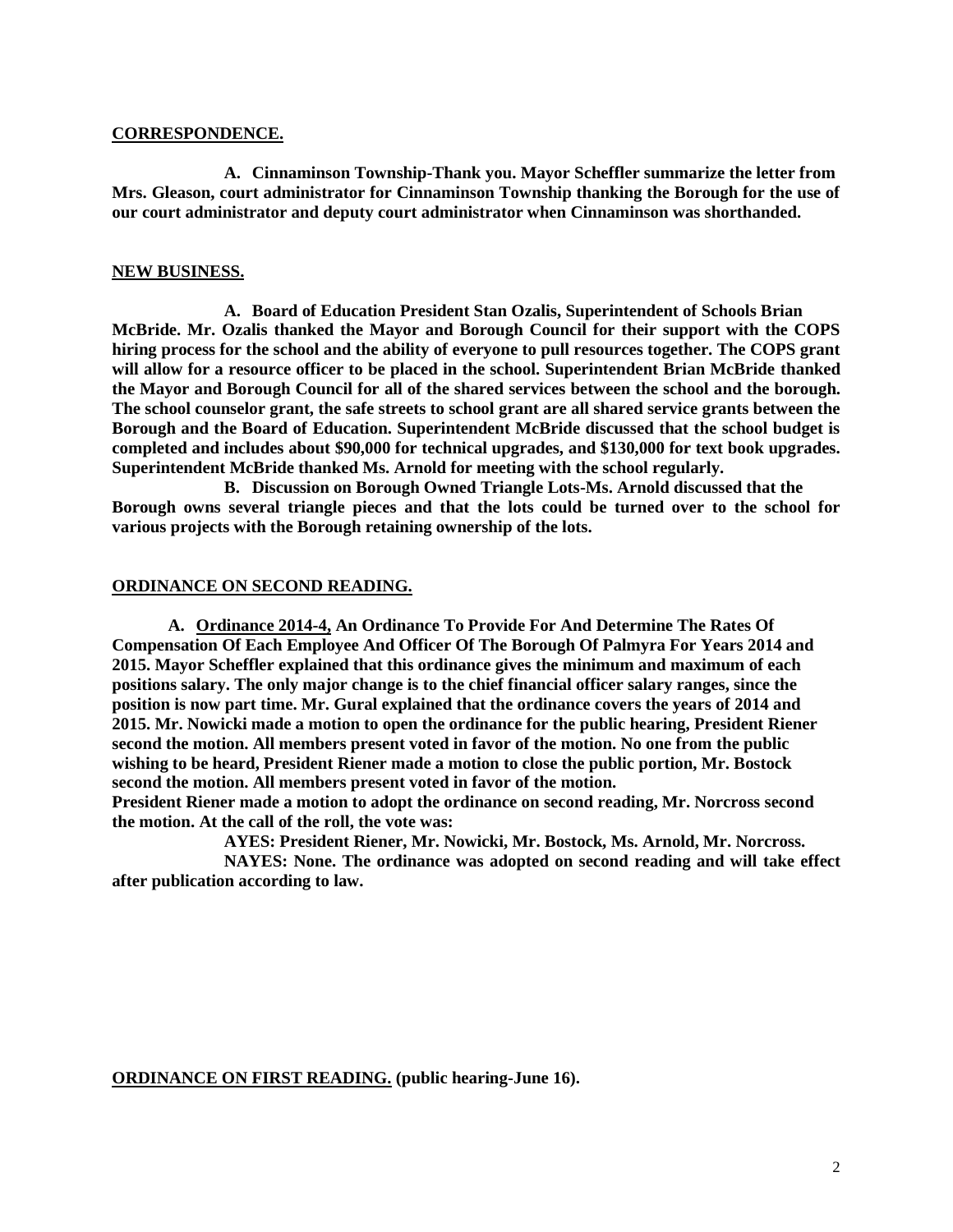#### **CORRESPONDENCE.**

**A. Cinnaminson Township-Thank you. Mayor Scheffler summarize the letter from Mrs. Gleason, court administrator for Cinnaminson Township thanking the Borough for the use of our court administrator and deputy court administrator when Cinnaminson was shorthanded.** 

# **NEW BUSINESS.**

**A. Board of Education President Stan Ozalis, Superintendent of Schools Brian McBride. Mr. Ozalis thanked the Mayor and Borough Council for their support with the COPS hiring process for the school and the ability of everyone to pull resources together. The COPS grant will allow for a resource officer to be placed in the school. Superintendent Brian McBride thanked the Mayor and Borough Council for all of the shared services between the school and the borough. The school counselor grant, the safe streets to school grant are all shared service grants between the Borough and the Board of Education. Superintendent McBride discussed that the school budget is completed and includes about \$90,000 for technical upgrades, and \$130,000 for text book upgrades. Superintendent McBride thanked Ms. Arnold for meeting with the school regularly.** 

**B. Discussion on Borough Owned Triangle Lots-Ms. Arnold discussed that the Borough owns several triangle pieces and that the lots could be turned over to the school for various projects with the Borough retaining ownership of the lots.** 

# **ORDINANCE ON SECOND READING.**

**A. Ordinance 2014-4, An Ordinance To Provide For And Determine The Rates Of Compensation Of Each Employee And Officer Of The Borough Of Palmyra For Years 2014 and 2015. Mayor Scheffler explained that this ordinance gives the minimum and maximum of each positions salary. The only major change is to the chief financial officer salary ranges, since the position is now part time. Mr. Gural explained that the ordinance covers the years of 2014 and 2015. Mr. Nowicki made a motion to open the ordinance for the public hearing, President Riener second the motion. All members present voted in favor of the motion. No one from the public wishing to be heard, President Riener made a motion to close the public portion, Mr. Bostock second the motion. All members present voted in favor of the motion.** 

**President Riener made a motion to adopt the ordinance on second reading, Mr. Norcross second the motion. At the call of the roll, the vote was:**

**AYES: President Riener, Mr. Nowicki, Mr. Bostock, Ms. Arnold, Mr. Norcross.**

**NAYES: None. The ordinance was adopted on second reading and will take effect after publication according to law.** 

**ORDINANCE ON FIRST READING. (public hearing-June 16).**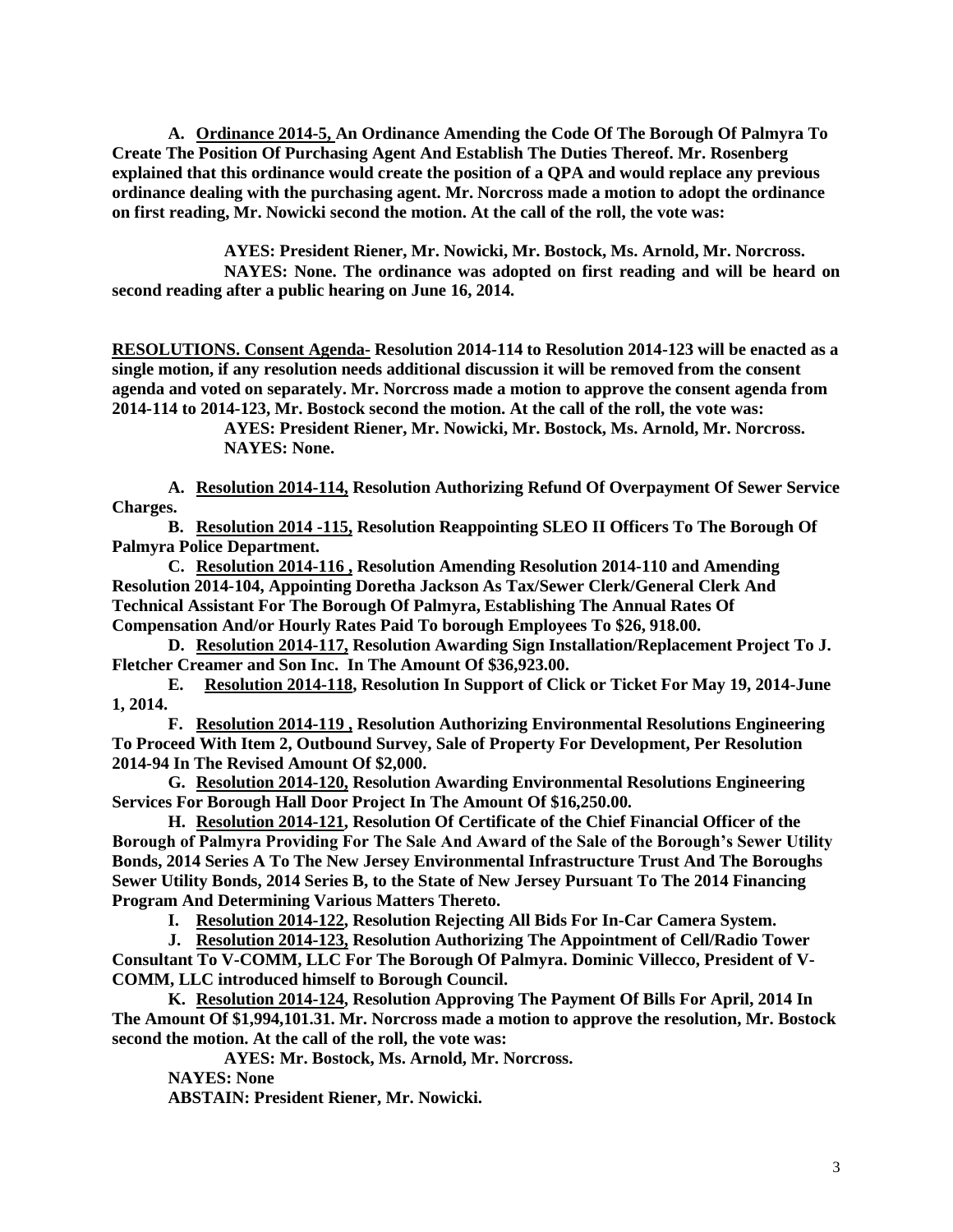**A. Ordinance 2014-5, An Ordinance Amending the Code Of The Borough Of Palmyra To Create The Position Of Purchasing Agent And Establish The Duties Thereof. Mr. Rosenberg explained that this ordinance would create the position of a QPA and would replace any previous ordinance dealing with the purchasing agent. Mr. Norcross made a motion to adopt the ordinance on first reading, Mr. Nowicki second the motion. At the call of the roll, the vote was:**

**AYES: President Riener, Mr. Nowicki, Mr. Bostock, Ms. Arnold, Mr. Norcross. NAYES: None. The ordinance was adopted on first reading and will be heard on second reading after a public hearing on June 16, 2014.** 

**RESOLUTIONS. Consent Agenda- Resolution 2014-114 to Resolution 2014-123 will be enacted as a single motion, if any resolution needs additional discussion it will be removed from the consent agenda and voted on separately. Mr. Norcross made a motion to approve the consent agenda from 2014-114 to 2014-123, Mr. Bostock second the motion. At the call of the roll, the vote was:**

**AYES: President Riener, Mr. Nowicki, Mr. Bostock, Ms. Arnold, Mr. Norcross. NAYES: None.**

**A. Resolution 2014-114, Resolution Authorizing Refund Of Overpayment Of Sewer Service Charges.**

**B. Resolution 2014 -115, Resolution Reappointing SLEO II Officers To The Borough Of Palmyra Police Department.**

**C. Resolution 2014-116 , Resolution Amending Resolution 2014-110 and Amending Resolution 2014-104, Appointing Doretha Jackson As Tax/Sewer Clerk/General Clerk And Technical Assistant For The Borough Of Palmyra, Establishing The Annual Rates Of Compensation And/or Hourly Rates Paid To borough Employees To \$26, 918.00.**

**D. Resolution 2014-117, Resolution Awarding Sign Installation/Replacement Project To J. Fletcher Creamer and Son Inc. In The Amount Of \$36,923.00.** 

**E. Resolution 2014-118, Resolution In Support of Click or Ticket For May 19, 2014-June 1, 2014.** 

**F. Resolution 2014-119 , Resolution Authorizing Environmental Resolutions Engineering To Proceed With Item 2, Outbound Survey, Sale of Property For Development, Per Resolution 2014-94 In The Revised Amount Of \$2,000.**

**G. Resolution 2014-120, Resolution Awarding Environmental Resolutions Engineering Services For Borough Hall Door Project In The Amount Of \$16,250.00.**

**H. Resolution 2014-121, Resolution Of Certificate of the Chief Financial Officer of the Borough of Palmyra Providing For The Sale And Award of the Sale of the Borough's Sewer Utility Bonds, 2014 Series A To The New Jersey Environmental Infrastructure Trust And The Boroughs Sewer Utility Bonds, 2014 Series B, to the State of New Jersey Pursuant To The 2014 Financing Program And Determining Various Matters Thereto.**

**I. Resolution 2014-122, Resolution Rejecting All Bids For In-Car Camera System.**

**J. Resolution 2014-123, Resolution Authorizing The Appointment of Cell/Radio Tower Consultant To V-COMM, LLC For The Borough Of Palmyra. Dominic Villecco, President of V-COMM, LLC introduced himself to Borough Council.** 

**K. Resolution 2014-124, Resolution Approving The Payment Of Bills For April, 2014 In The Amount Of \$1,994,101.31. Mr. Norcross made a motion to approve the resolution, Mr. Bostock second the motion. At the call of the roll, the vote was:**

**AYES: Mr. Bostock, Ms. Arnold, Mr. Norcross.**

**NAYES: None**

**ABSTAIN: President Riener, Mr. Nowicki.**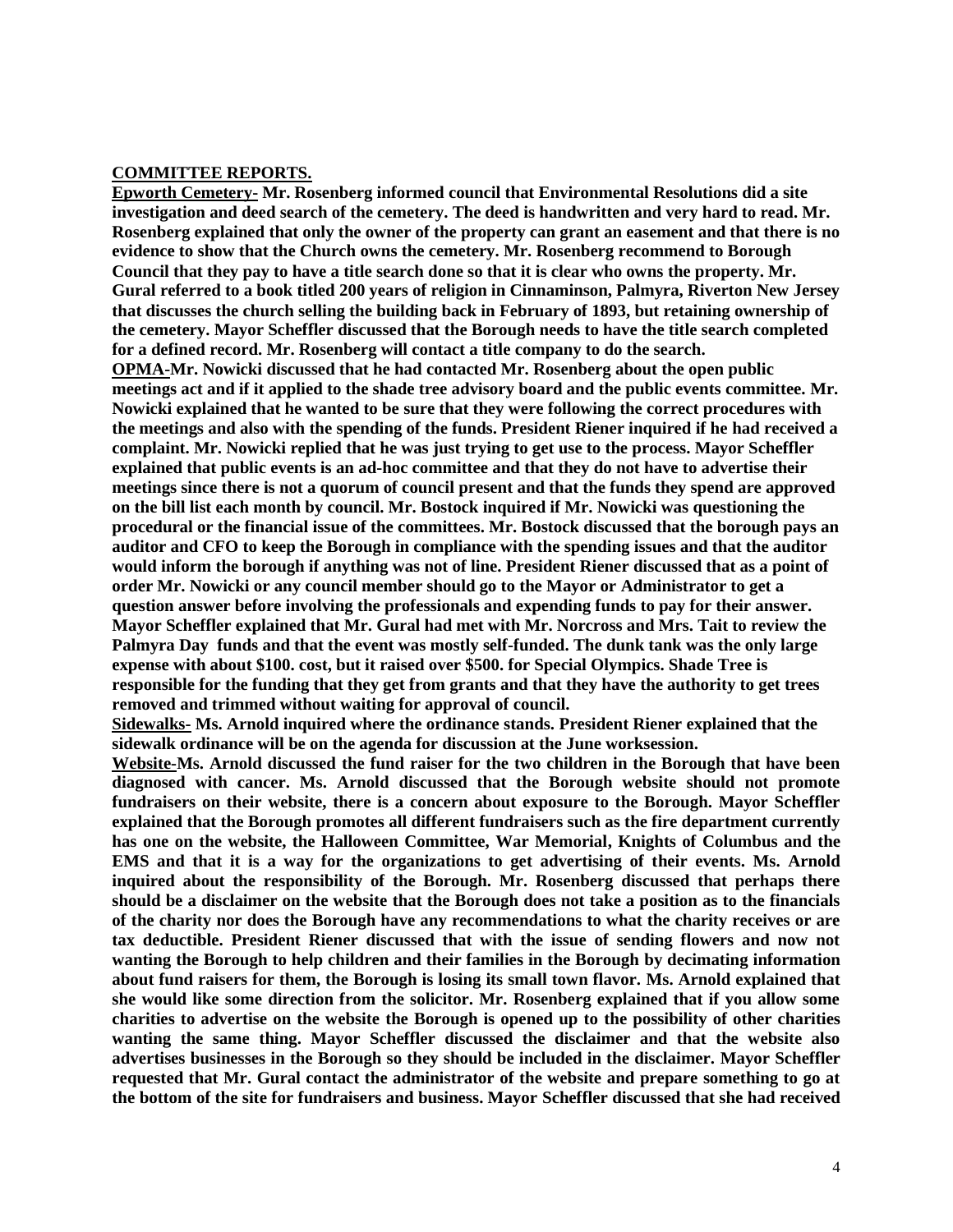#### **COMMITTEE REPORTS.**

**Epworth Cemetery- Mr. Rosenberg informed council that Environmental Resolutions did a site investigation and deed search of the cemetery. The deed is handwritten and very hard to read. Mr. Rosenberg explained that only the owner of the property can grant an easement and that there is no evidence to show that the Church owns the cemetery. Mr. Rosenberg recommend to Borough Council that they pay to have a title search done so that it is clear who owns the property. Mr. Gural referred to a book titled 200 years of religion in Cinnaminson, Palmyra, Riverton New Jersey that discusses the church selling the building back in February of 1893, but retaining ownership of the cemetery. Mayor Scheffler discussed that the Borough needs to have the title search completed for a defined record. Mr. Rosenberg will contact a title company to do the search. OPMA-Mr. Nowicki discussed that he had contacted Mr. Rosenberg about the open public meetings act and if it applied to the shade tree advisory board and the public events committee. Mr. Nowicki explained that he wanted to be sure that they were following the correct procedures with the meetings and also with the spending of the funds. President Riener inquired if he had received a complaint. Mr. Nowicki replied that he was just trying to get use to the process. Mayor Scheffler explained that public events is an ad-hoc committee and that they do not have to advertise their meetings since there is not a quorum of council present and that the funds they spend are approved on the bill list each month by council. Mr. Bostock inquired if Mr. Nowicki was questioning the procedural or the financial issue of the committees. Mr. Bostock discussed that the borough pays an auditor and CFO to keep the Borough in compliance with the spending issues and that the auditor would inform the borough if anything was not of line. President Riener discussed that as a point of order Mr. Nowicki or any council member should go to the Mayor or Administrator to get a question answer before involving the professionals and expending funds to pay for their answer. Mayor Scheffler explained that Mr. Gural had met with Mr. Norcross and Mrs. Tait to review the Palmyra Day funds and that the event was mostly self-funded. The dunk tank was the only large expense with about \$100. cost, but it raised over \$500. for Special Olympics. Shade Tree is responsible for the funding that they get from grants and that they have the authority to get trees removed and trimmed without waiting for approval of council.** 

**Sidewalks- Ms. Arnold inquired where the ordinance stands. President Riener explained that the sidewalk ordinance will be on the agenda for discussion at the June worksession.**

**Website-Ms. Arnold discussed the fund raiser for the two children in the Borough that have been diagnosed with cancer. Ms. Arnold discussed that the Borough website should not promote fundraisers on their website, there is a concern about exposure to the Borough. Mayor Scheffler explained that the Borough promotes all different fundraisers such as the fire department currently has one on the website, the Halloween Committee, War Memorial, Knights of Columbus and the EMS and that it is a way for the organizations to get advertising of their events. Ms. Arnold inquired about the responsibility of the Borough. Mr. Rosenberg discussed that perhaps there should be a disclaimer on the website that the Borough does not take a position as to the financials of the charity nor does the Borough have any recommendations to what the charity receives or are tax deductible. President Riener discussed that with the issue of sending flowers and now not wanting the Borough to help children and their families in the Borough by decimating information about fund raisers for them, the Borough is losing its small town flavor. Ms. Arnold explained that she would like some direction from the solicitor. Mr. Rosenberg explained that if you allow some charities to advertise on the website the Borough is opened up to the possibility of other charities wanting the same thing. Mayor Scheffler discussed the disclaimer and that the website also advertises businesses in the Borough so they should be included in the disclaimer. Mayor Scheffler requested that Mr. Gural contact the administrator of the website and prepare something to go at the bottom of the site for fundraisers and business. Mayor Scheffler discussed that she had received**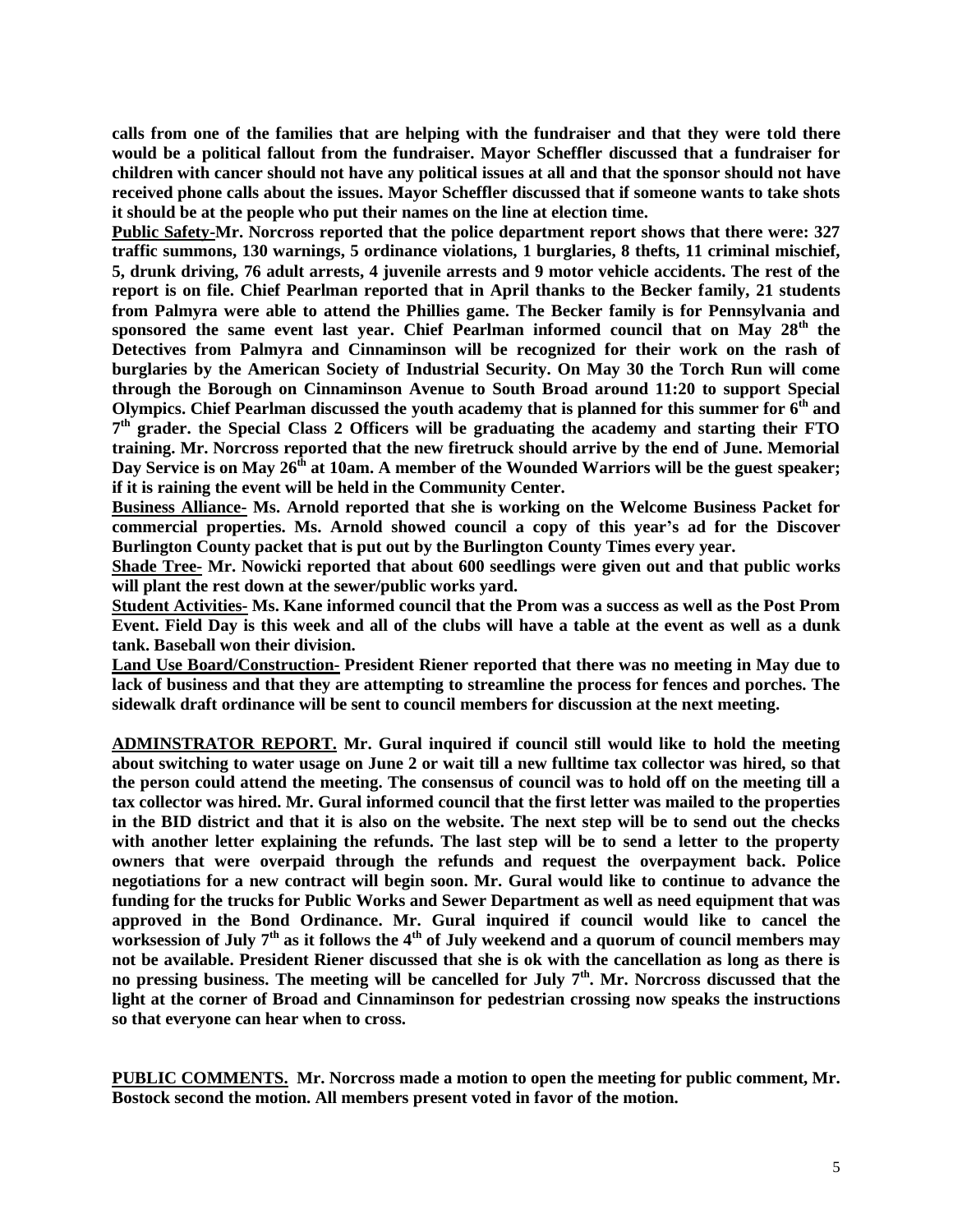**calls from one of the families that are helping with the fundraiser and that they were told there would be a political fallout from the fundraiser. Mayor Scheffler discussed that a fundraiser for children with cancer should not have any political issues at all and that the sponsor should not have received phone calls about the issues. Mayor Scheffler discussed that if someone wants to take shots it should be at the people who put their names on the line at election time.** 

**Public Safety-Mr. Norcross reported that the police department report shows that there were: 327 traffic summons, 130 warnings, 5 ordinance violations, 1 burglaries, 8 thefts, 11 criminal mischief, 5, drunk driving, 76 adult arrests, 4 juvenile arrests and 9 motor vehicle accidents. The rest of the report is on file. Chief Pearlman reported that in April thanks to the Becker family, 21 students from Palmyra were able to attend the Phillies game. The Becker family is for Pennsylvania and sponsored the same event last year. Chief Pearlman informed council that on May 28th the Detectives from Palmyra and Cinnaminson will be recognized for their work on the rash of burglaries by the American Society of Industrial Security. On May 30 the Torch Run will come through the Borough on Cinnaminson Avenue to South Broad around 11:20 to support Special Olympics. Chief Pearlman discussed the youth academy that is planned for this summer for 6th and 7 th grader. the Special Class 2 Officers will be graduating the academy and starting their FTO training. Mr. Norcross reported that the new firetruck should arrive by the end of June. Memorial Day Service is on May 26th at 10am. A member of the Wounded Warriors will be the guest speaker; if it is raining the event will be held in the Community Center.** 

**Business Alliance- Ms. Arnold reported that she is working on the Welcome Business Packet for commercial properties. Ms. Arnold showed council a copy of this year's ad for the Discover Burlington County packet that is put out by the Burlington County Times every year.** 

**Shade Tree- Mr. Nowicki reported that about 600 seedlings were given out and that public works will plant the rest down at the sewer/public works yard.** 

**Student Activities- Ms. Kane informed council that the Prom was a success as well as the Post Prom Event. Field Day is this week and all of the clubs will have a table at the event as well as a dunk tank. Baseball won their division.** 

**Land Use Board/Construction- President Riener reported that there was no meeting in May due to lack of business and that they are attempting to streamline the process for fences and porches. The sidewalk draft ordinance will be sent to council members for discussion at the next meeting.** 

**ADMINSTRATOR REPORT. Mr. Gural inquired if council still would like to hold the meeting about switching to water usage on June 2 or wait till a new fulltime tax collector was hired, so that the person could attend the meeting. The consensus of council was to hold off on the meeting till a tax collector was hired. Mr. Gural informed council that the first letter was mailed to the properties in the BID district and that it is also on the website. The next step will be to send out the checks with another letter explaining the refunds. The last step will be to send a letter to the property owners that were overpaid through the refunds and request the overpayment back. Police negotiations for a new contract will begin soon. Mr. Gural would like to continue to advance the funding for the trucks for Public Works and Sewer Department as well as need equipment that was approved in the Bond Ordinance. Mr. Gural inquired if council would like to cancel the worksession of July 7th as it follows the 4th of July weekend and a quorum of council members may not be available. President Riener discussed that she is ok with the cancellation as long as there is no pressing business. The meeting will be cancelled for July 7th. Mr. Norcross discussed that the light at the corner of Broad and Cinnaminson for pedestrian crossing now speaks the instructions so that everyone can hear when to cross.**

**PUBLIC COMMENTS. Mr. Norcross made a motion to open the meeting for public comment, Mr. Bostock second the motion. All members present voted in favor of the motion.**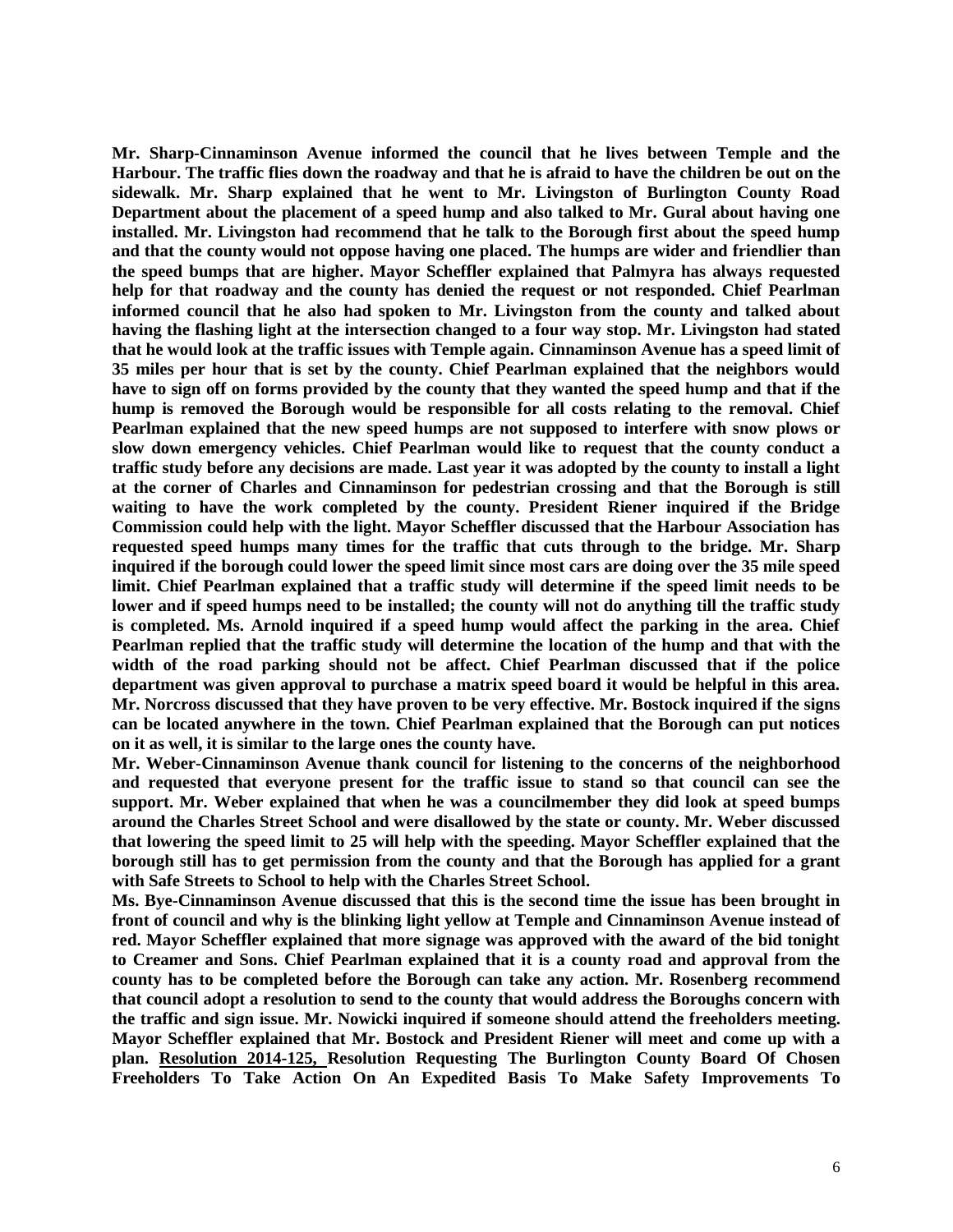**Mr. Sharp-Cinnaminson Avenue informed the council that he lives between Temple and the Harbour. The traffic flies down the roadway and that he is afraid to have the children be out on the sidewalk. Mr. Sharp explained that he went to Mr. Livingston of Burlington County Road Department about the placement of a speed hump and also talked to Mr. Gural about having one installed. Mr. Livingston had recommend that he talk to the Borough first about the speed hump and that the county would not oppose having one placed. The humps are wider and friendlier than the speed bumps that are higher. Mayor Scheffler explained that Palmyra has always requested help for that roadway and the county has denied the request or not responded. Chief Pearlman informed council that he also had spoken to Mr. Livingston from the county and talked about having the flashing light at the intersection changed to a four way stop. Mr. Livingston had stated that he would look at the traffic issues with Temple again. Cinnaminson Avenue has a speed limit of 35 miles per hour that is set by the county. Chief Pearlman explained that the neighbors would have to sign off on forms provided by the county that they wanted the speed hump and that if the hump is removed the Borough would be responsible for all costs relating to the removal. Chief Pearlman explained that the new speed humps are not supposed to interfere with snow plows or slow down emergency vehicles. Chief Pearlman would like to request that the county conduct a traffic study before any decisions are made. Last year it was adopted by the county to install a light at the corner of Charles and Cinnaminson for pedestrian crossing and that the Borough is still waiting to have the work completed by the county. President Riener inquired if the Bridge Commission could help with the light. Mayor Scheffler discussed that the Harbour Association has requested speed humps many times for the traffic that cuts through to the bridge. Mr. Sharp inquired if the borough could lower the speed limit since most cars are doing over the 35 mile speed limit. Chief Pearlman explained that a traffic study will determine if the speed limit needs to be lower and if speed humps need to be installed; the county will not do anything till the traffic study is completed. Ms. Arnold inquired if a speed hump would affect the parking in the area. Chief Pearlman replied that the traffic study will determine the location of the hump and that with the width of the road parking should not be affect. Chief Pearlman discussed that if the police department was given approval to purchase a matrix speed board it would be helpful in this area. Mr. Norcross discussed that they have proven to be very effective. Mr. Bostock inquired if the signs can be located anywhere in the town. Chief Pearlman explained that the Borough can put notices on it as well, it is similar to the large ones the county have.** 

**Mr. Weber-Cinnaminson Avenue thank council for listening to the concerns of the neighborhood and requested that everyone present for the traffic issue to stand so that council can see the support. Mr. Weber explained that when he was a councilmember they did look at speed bumps around the Charles Street School and were disallowed by the state or county. Mr. Weber discussed that lowering the speed limit to 25 will help with the speeding. Mayor Scheffler explained that the borough still has to get permission from the county and that the Borough has applied for a grant with Safe Streets to School to help with the Charles Street School.** 

**Ms. Bye-Cinnaminson Avenue discussed that this is the second time the issue has been brought in front of council and why is the blinking light yellow at Temple and Cinnaminson Avenue instead of red. Mayor Scheffler explained that more signage was approved with the award of the bid tonight to Creamer and Sons. Chief Pearlman explained that it is a county road and approval from the county has to be completed before the Borough can take any action. Mr. Rosenberg recommend that council adopt a resolution to send to the county that would address the Boroughs concern with the traffic and sign issue. Mr. Nowicki inquired if someone should attend the freeholders meeting. Mayor Scheffler explained that Mr. Bostock and President Riener will meet and come up with a plan. Resolution 2014-125, Resolution Requesting The Burlington County Board Of Chosen Freeholders To Take Action On An Expedited Basis To Make Safety Improvements To**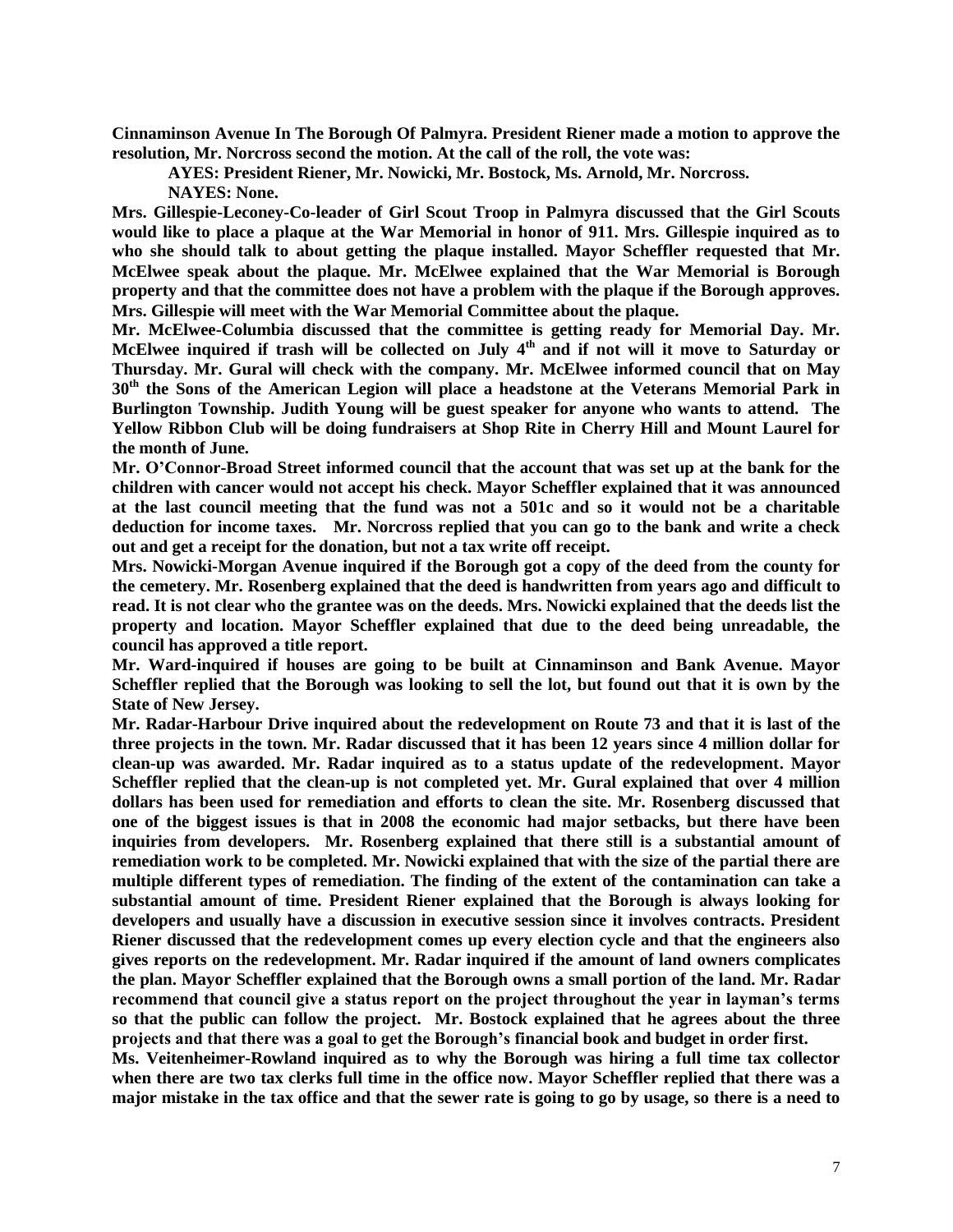**Cinnaminson Avenue In The Borough Of Palmyra. President Riener made a motion to approve the resolution, Mr. Norcross second the motion. At the call of the roll, the vote was:**

**AYES: President Riener, Mr. Nowicki, Mr. Bostock, Ms. Arnold, Mr. Norcross.**

**NAYES: None.** 

**Mrs. Gillespie-Leconey-Co-leader of Girl Scout Troop in Palmyra discussed that the Girl Scouts would like to place a plaque at the War Memorial in honor of 911. Mrs. Gillespie inquired as to who she should talk to about getting the plaque installed. Mayor Scheffler requested that Mr. McElwee speak about the plaque. Mr. McElwee explained that the War Memorial is Borough property and that the committee does not have a problem with the plaque if the Borough approves. Mrs. Gillespie will meet with the War Memorial Committee about the plaque.**

**Mr. McElwee-Columbia discussed that the committee is getting ready for Memorial Day. Mr. McElwee inquired if trash will be collected on July 4th and if not will it move to Saturday or Thursday. Mr. Gural will check with the company. Mr. McElwee informed council that on May 30th the Sons of the American Legion will place a headstone at the Veterans Memorial Park in Burlington Township. Judith Young will be guest speaker for anyone who wants to attend. The Yellow Ribbon Club will be doing fundraisers at Shop Rite in Cherry Hill and Mount Laurel for the month of June.** 

**Mr. O'Connor-Broad Street informed council that the account that was set up at the bank for the children with cancer would not accept his check. Mayor Scheffler explained that it was announced at the last council meeting that the fund was not a 501c and so it would not be a charitable deduction for income taxes. Mr. Norcross replied that you can go to the bank and write a check out and get a receipt for the donation, but not a tax write off receipt.**

**Mrs. Nowicki-Morgan Avenue inquired if the Borough got a copy of the deed from the county for the cemetery. Mr. Rosenberg explained that the deed is handwritten from years ago and difficult to read. It is not clear who the grantee was on the deeds. Mrs. Nowicki explained that the deeds list the property and location. Mayor Scheffler explained that due to the deed being unreadable, the council has approved a title report.** 

**Mr. Ward-inquired if houses are going to be built at Cinnaminson and Bank Avenue. Mayor Scheffler replied that the Borough was looking to sell the lot, but found out that it is own by the State of New Jersey.**

**Mr. Radar-Harbour Drive inquired about the redevelopment on Route 73 and that it is last of the three projects in the town. Mr. Radar discussed that it has been 12 years since 4 million dollar for clean-up was awarded. Mr. Radar inquired as to a status update of the redevelopment. Mayor Scheffler replied that the clean-up is not completed yet. Mr. Gural explained that over 4 million dollars has been used for remediation and efforts to clean the site. Mr. Rosenberg discussed that one of the biggest issues is that in 2008 the economic had major setbacks, but there have been inquiries from developers. Mr. Rosenberg explained that there still is a substantial amount of remediation work to be completed. Mr. Nowicki explained that with the size of the partial there are multiple different types of remediation. The finding of the extent of the contamination can take a substantial amount of time. President Riener explained that the Borough is always looking for developers and usually have a discussion in executive session since it involves contracts. President Riener discussed that the redevelopment comes up every election cycle and that the engineers also gives reports on the redevelopment. Mr. Radar inquired if the amount of land owners complicates the plan. Mayor Scheffler explained that the Borough owns a small portion of the land. Mr. Radar recommend that council give a status report on the project throughout the year in layman's terms so that the public can follow the project. Mr. Bostock explained that he agrees about the three projects and that there was a goal to get the Borough's financial book and budget in order first.** 

**Ms. Veitenheimer-Rowland inquired as to why the Borough was hiring a full time tax collector when there are two tax clerks full time in the office now. Mayor Scheffler replied that there was a major mistake in the tax office and that the sewer rate is going to go by usage, so there is a need to**